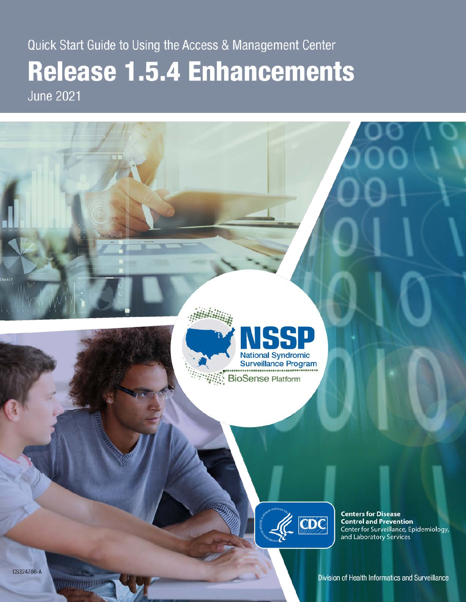# Quick Start Guide to Using the Access & Management Center **Release 1.5.4 Enhancements June 2021**



**WARD TO BE AND THE UPPER** 

Division of Health Informatics and Surveillance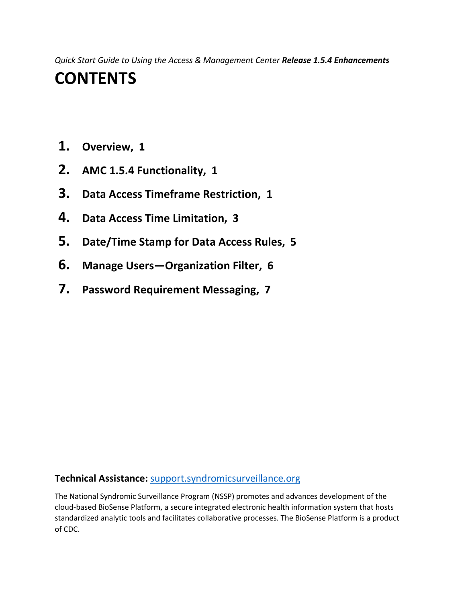*Quick Start Guide to Using the Access & Management Center Release 1.5.4 Enhancements*

## **CONTENTS**

- **1. [Overview, 1](#page-2-0)**
- **2. [AMC 1.5.4 Functionality, 1](#page-2-1)**
- **3. [Data Access Timeframe Restriction, 1](#page-2-2)**
- **4. [Data Access Time Limitation, 3](#page-4-0)**
- **5. [Date/Time Stamp for Data Access Rules, 5](#page-6-0)**
- **6. [Manage Users—Organization Filter, 6](#page-7-0)**
- **7. [Password Requirement Messaging, 7](#page-8-0)**

#### **Technical Assistance:** [support.syndromicsurveillance.org](https://icf-biosense.atlassian.net/servicedesk/customer/portal/5/user/login?destination=portal%2F5)

The National Syndromic Surveillance Program (NSSP) promotes and advances development of the cloud-based BioSense Platform, a secure integrated electronic health information system that hosts standardized analytic tools and facilitates collaborative processes. The BioSense Platform is a product of CDC.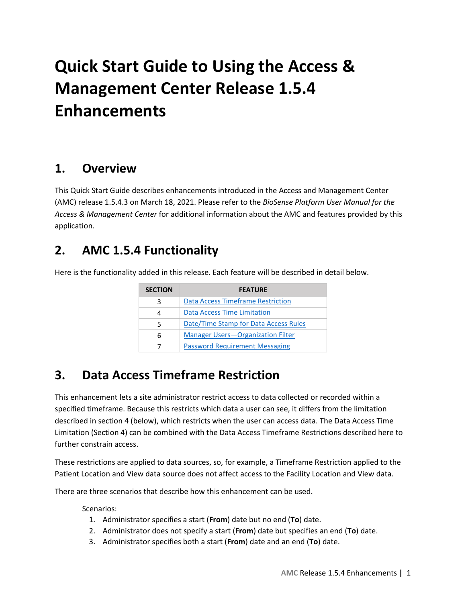# **Quick Start Guide to Using the Access & Management Center Release 1.5.4 Enhancements**

#### <span id="page-2-0"></span>**1. Overview**

This Quick Start Guide describes enhancements introduced in the Access and Management Center (AMC) release 1.5.4.3 on March 18, 2021. Please refer to the *BioSense Platform User Manual for the Access & Management Center* for additional information about the AMC and features provided by this application.

### <span id="page-2-1"></span>**2. AMC 1.5.4 Functionality**

Here is the functionality added in this release. Each feature will be described in detail below.

| <b>SECTION</b> | <b>FEATURE</b>                           |
|----------------|------------------------------------------|
| 3              | Data Access Timeframe Restriction        |
| 4              | Data Access Time Limitation              |
| 5              | Date/Time Stamp for Data Access Rules    |
| 6              | <b>Manager Users-Organization Filter</b> |
|                | <b>Password Requirement Messaging</b>    |

### <span id="page-2-2"></span>**3. Data Access Timeframe Restriction**

This enhancement lets a site administrator restrict access to data collected or recorded within a specified timeframe. Because this restricts which data a user can see, it differs from the limitation described in section 4 (below), which restricts when the user can access data. The Data Access Time Limitation (Section 4) can be combined with the Data Access Timeframe Restrictions described here to further constrain access.

These restrictions are applied to data sources, so, for example, a Timeframe Restriction applied to the Patient Location and View data source does not affect access to the Facility Location and View data.

There are three scenarios that describe how this enhancement can be used.

Scenarios:

- 1. Administrator specifies a start (**From**) date but no end (**To**) date.
- 2. Administrator does not specify a start (**From**) date but specifies an end (**To**) date.
- 3. Administrator specifies both a start (**From**) date and an end (**To**) date.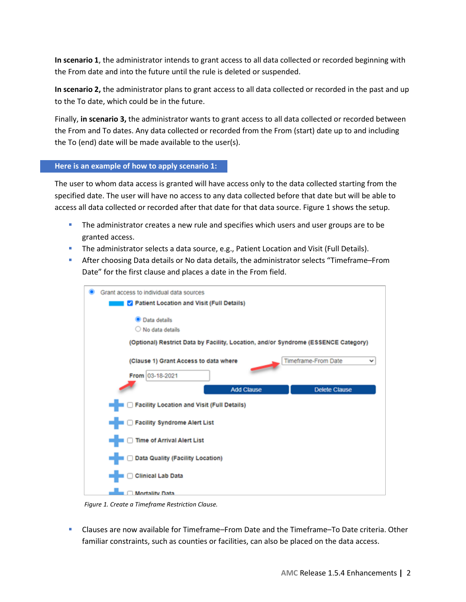**In scenario 1**, the administrator intends to grant access to all data collected or recorded beginning with the From date and into the future until the rule is deleted or suspended.

**In scenario 2,** the administrator plans to grant access to all data collected or recorded in the past and up to the To date, which could be in the future.

Finally, **in scenario 3,** the administrator wants to grant access to all data collected or recorded between the From and To dates. Any data collected or recorded from the From (start) date up to and including the To (end) date will be made available to the user(s).

#### **Here is an example of how to apply scenario 1:**

The user to whom data access is granted will have access only to the data collected starting from the specified date. The user will have no access to any data collected before that date but will be able to access all data collected or recorded after that date for that data source. Figure 1 shows the setup.

- The administrator creates a new rule and specifies which users and user groups are to be granted access.
- **The administrator selects a data source, e.g., Patient Location and Visit (Full Details).**
- After choosing Data details or No data details, the administrator selects "Timeframe–From Date" for the first clause and places a date in the From field.



*Figure 1. Create a Timeframe Restriction Clause.*

 Clauses are now available for Timeframe–From Date and the Timeframe–To Date criteria. Other familiar constraints, such as counties or facilities, can also be placed on the data access.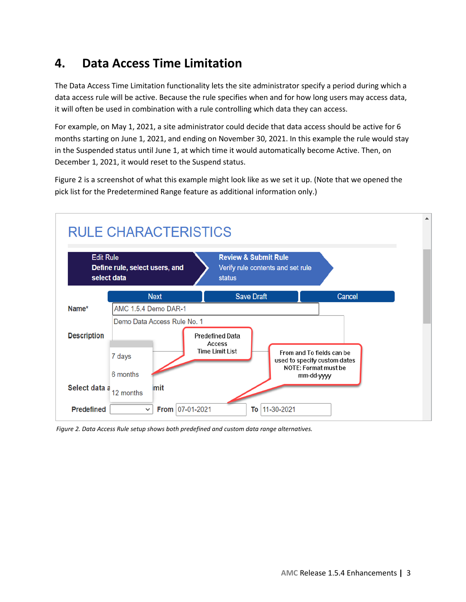### <span id="page-4-0"></span>**4. Data Access Time Limitation**

The Data Access Time Limitation functionality lets the site administrator specify a period during which a data access rule will be active. Because the rule specifies when and for how long users may access data, it will often be used in combination with a rule controlling which data they can access.

For example, on May 1, 2021, a site administrator could decide that data access should be active for 6 months starting on June 1, 2021, and ending on November 30, 2021. In this example the rule would stay in the Suspended status until June 1, at which time it would automatically become Active. Then, on December 1, 2021, it would reset to the Suspend status.

Figure 2 is a screenshot of what this example might look like as we set it up. (Note that we opened the pick list for the Predetermined Range feature as additional information only.)



*Figure 2. Data Access Rule setup shows both predefined and custom data range alternatives.*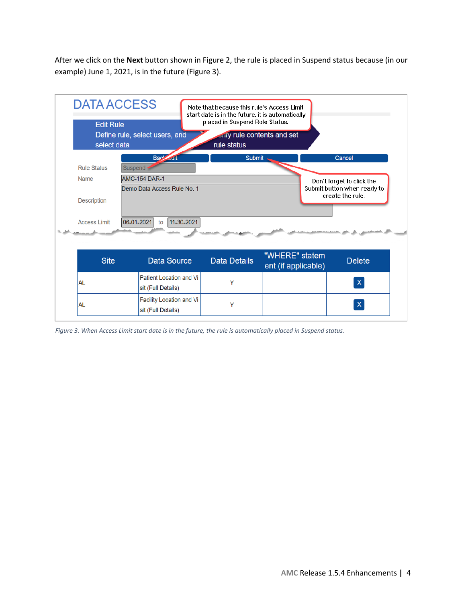After we click on the **Next** button shown in Figure 2, the rule is placed in Suspend status because (in our example) June 1, 2021, is in the future (Figure 3).

| <b>Edit Rule</b><br>select data | <b>DATA ACCESS</b><br>Define rule, select users, and | Note that because this rule's Access Limit<br>start date is in the future, it is automatically<br>placed in Suspend Role Status.<br>shifty rule contents and set<br>rule status |                                       |                                                 |
|---------------------------------|------------------------------------------------------|---------------------------------------------------------------------------------------------------------------------------------------------------------------------------------|---------------------------------------|-------------------------------------------------|
|                                 | Bar' ait                                             | <b>Submit</b>                                                                                                                                                                   |                                       | Cancel                                          |
| <b>Rule Status</b>              | Suspend                                              |                                                                                                                                                                                 |                                       |                                                 |
| <b>Name</b>                     | <b>AMC-154 DAR-1</b>                                 |                                                                                                                                                                                 |                                       | Don't forget to click the                       |
|                                 | Demo Data Access Rule No. 1                          |                                                                                                                                                                                 |                                       | Submit button when ready to<br>create the rule. |
| <b>Description</b>              |                                                      |                                                                                                                                                                                 |                                       |                                                 |
| <b>Access Limit</b>             | 11-30-2021<br>06-01-2021<br>to                       |                                                                                                                                                                                 |                                       |                                                 |
| <b>Site</b>                     | <b>Data Source</b>                                   | <b>Data Details</b>                                                                                                                                                             | "WHERE" statem<br>ent (if applicable) | <b>Delete</b>                                   |
|                                 |                                                      |                                                                                                                                                                                 |                                       |                                                 |
|                                 | Patient Location and Vi                              |                                                                                                                                                                                 |                                       |                                                 |
| AL                              | sit (Full Details)                                   | Y                                                                                                                                                                               |                                       | $\mathsf{x}$                                    |
| <b>AL</b>                       | Facility Location and Vi                             | Y                                                                                                                                                                               |                                       | $\boldsymbol{\mathsf{x}}$                       |

*Figure 3. When Access Limit start date is in the future, the rule is automatically placed in Suspend status.*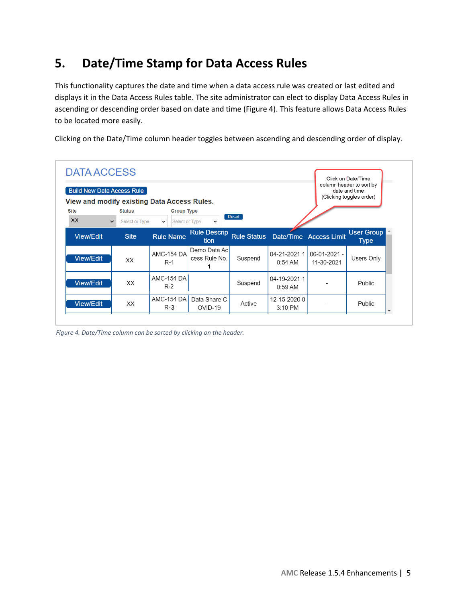### <span id="page-6-0"></span>**5. Date/Time Stamp for Data Access Rules**

This functionality captures the date and time when a data access rule was created or last edited and displays it in the Data Access Rules table. The site administrator can elect to display Data Access Rules in ascending or descending order based on date and time (Figure 4). This feature allows Data Access Rules to be located more easily.

Clicking on the Date/Time column header toggles between ascending and descending order of display.

|                  | <b>Build New Data Access Rule</b>     | View and modify existing Data Access Rules. |                               |         |                                    |                            | column header to sort by<br>date and time<br>(Clicking toggles order) |
|------------------|---------------------------------------|---------------------------------------------|-------------------------------|---------|------------------------------------|----------------------------|-----------------------------------------------------------------------|
| <b>Site</b>      | <b>Status</b>                         | <b>Group Type</b>                           |                               |         |                                    |                            |                                                                       |
| <b>XX</b>        | <b>Select or Type</b><br>$\checkmark$ | <b>Select or Type</b><br>$\checkmark$       | $\check{ }$                   | Reset   |                                    |                            |                                                                       |
| <b>View/Edit</b> | <b>Site</b>                           | <b>Rule Name</b>                            | <b>Rule Descrip</b><br>tion   |         | Rule Status Date/Time Access Limit |                            | <b>User Group</b><br><b>Type</b>                                      |
| <b>View/Edit</b> | XX                                    | <b>AMC-154 DA</b><br>$R-1$                  | Demo Data Ac<br>cess Rule No. | Suspend | 04-21-2021 1<br>$0:54$ AM          | 06-01-2021 -<br>11-30-2021 | Users Only                                                            |
| <b>View/Edit</b> | XX                                    | <b>AMC-154 DA</b><br>$R-2$                  |                               | Suspend | 04-19-2021 1<br>$0:59$ AM          |                            | Public                                                                |
|                  |                                       | <b>AMC-154 DA</b>                           | Data Share C                  |         | 12-15-20200                        |                            |                                                                       |

*Figure 4. Date/Time column can be sorted by clicking on the header.*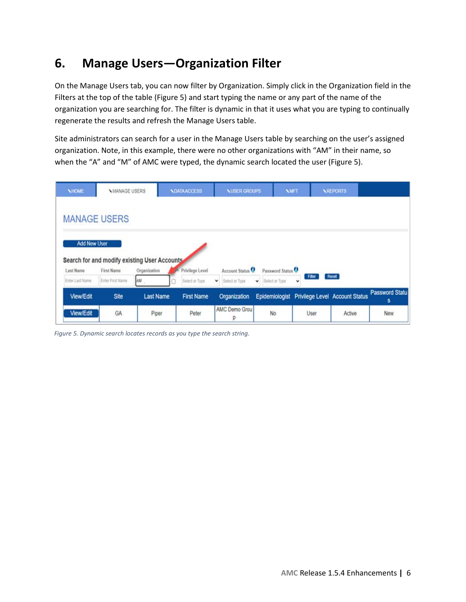### <span id="page-7-0"></span>**6. Manage Users—Organization Filter**

On the Manage Users tab, you can now filter by Organization. Simply click in the Organization field in the Filters at the top of the table (Figure 5) and start typing the name or any part of the name of the organization you are searching for. The filter is dynamic in that it uses what you are typing to continually regenerate the results and refresh the Manage Users table.

Site administrators can search for a user in the Manage Users table by searching on the user's assigned organization. Note, in this example, there were no other organizations with "AM" in their name, so when the "A" and "M" of AMC were typed, the dynamic search located the user (Figure 5).

| <b>NHOME</b>        | <b>NMANAGE USERS</b>                                       |                  | <b>NDATA ACCESS</b> | <b>NUSER GROUPS</b>         | <b>NMFT</b>                    |                      | <b>NREPORTS</b>                               |                            |
|---------------------|------------------------------------------------------------|------------------|---------------------|-----------------------------|--------------------------------|----------------------|-----------------------------------------------|----------------------------|
|                     | <b>MANAGE USERS</b>                                        |                  |                     |                             |                                |                      |                                               |                            |
|                     |                                                            |                  |                     |                             |                                |                      |                                               |                            |
|                     |                                                            |                  |                     |                             |                                |                      |                                               |                            |
| <b>Add New User</b> |                                                            |                  |                     |                             |                                |                      |                                               |                            |
| Last Name           | Search for and modify existing User Accounts<br>First Name | Organization     | Privilege Level     | Account Status <sup>0</sup> | Password Status <sup>0</sup>   |                      |                                               |                            |
| Enter Last Name     | Enter First Name                                           | AM               | Select or Type      | Select or Type<br>v.        | Select or Type<br>$\checkmark$ | Filter<br>$\check{}$ | Reset                                         |                            |
| View/Edit           | Site                                                       | <b>Last Name</b> | <b>First Name</b>   | Organization                |                                |                      | Epidemiologist Privilege Level Account Status | <b>Password Statu</b><br>s |

*Figure 5. Dynamic search locates records as you type the search string.*